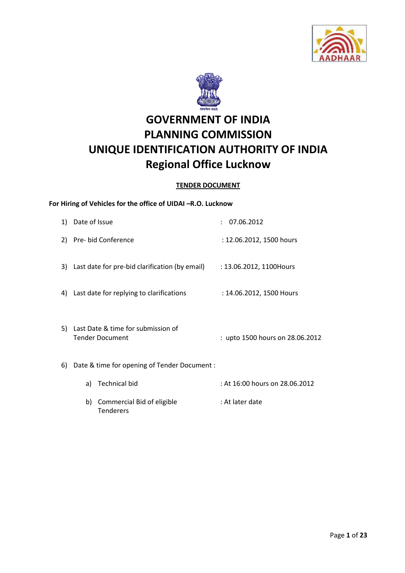



# **GOVERNMENT OF INDIA PLANNING COMMISSION UNIQUE IDENTIFICATION AUTHORITY OF INDIA Regional Office Lucknow**

# **TENDER DOCUMENT**

# **For Hiring of Vehicles for the office of UIDAI –R.O. Lucknow**

**Tenderers** 

|    | 1) Date of Issue                                             | 07.06.2012                      |
|----|--------------------------------------------------------------|---------------------------------|
|    | 2) Pre- bid Conference                                       | : 12.06.2012, 1500 hours        |
|    | 3) Last date for pre-bid clarification (by email)            | : 13.06.2012, 1100Hours         |
| 4) | Last date for replying to clarifications                     | : 14.06.2012, 1500 Hours        |
| 5) | Last Date & time for submission of<br><b>Tender Document</b> | : upto 1500 hours on 28.06.2012 |
| 6) | Date & time for opening of Tender Document :                 |                                 |
|    | <b>Technical bid</b><br>a)                                   | : At 16:00 hours on 28.06.2012  |
|    | Commercial Bid of eligible<br>b)                             | : At later date                 |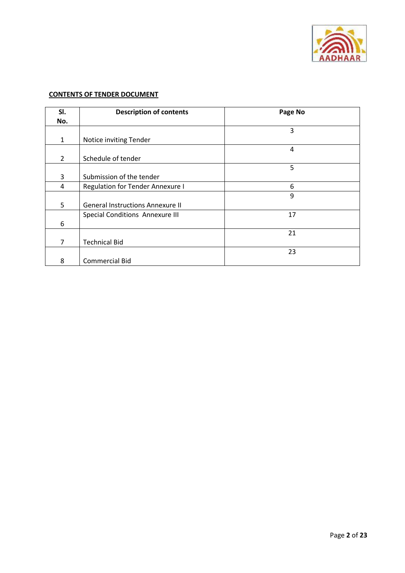

# **CONTENTS OF TENDER DOCUMENT**

| SI.            | <b>Description of contents</b>          | Page No |
|----------------|-----------------------------------------|---------|
| No.            |                                         |         |
|                |                                         | 3       |
| $\mathbf{1}$   | Notice inviting Tender                  |         |
|                |                                         | 4       |
| $\overline{2}$ | Schedule of tender                      |         |
|                |                                         | 5       |
| 3              | Submission of the tender                |         |
| 4              | <b>Regulation for Tender Annexure I</b> | 6       |
|                |                                         | 9       |
| 5              | <b>General Instructions Annexure II</b> |         |
|                | Special Conditions Annexure III         | 17      |
| 6              |                                         |         |
|                |                                         | 21      |
| 7              | <b>Technical Bid</b>                    |         |
|                |                                         | 23      |
| 8              | <b>Commercial Bid</b>                   |         |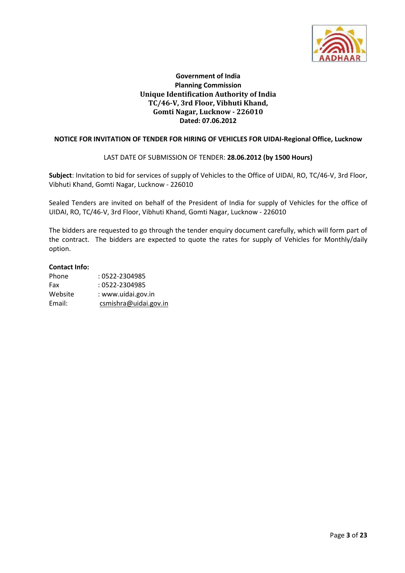

# **Government of India Planning Commission Unique Identification Authority of India TC/46-V, 3rd Floor, Vibhuti Khand, Gomti Nagar, Lucknow - 226010 Dated: 07.06.2012**

## **NOTICE FOR INVITATION OF TENDER FOR HIRING OF VEHICLES FOR UIDAI-Regional Office, Lucknow**

## LAST DATE OF SUBMISSION OF TENDER: **28.06.2012 (by 1500 Hours)**

**Subject**: Invitation to bid for services of supply of Vehicles to the Office of UIDAI, RO, TC/46-V, 3rd Floor, Vibhuti Khand, Gomti Nagar, Lucknow - 226010

Sealed Tenders are invited on behalf of the President of India for supply of Vehicles for the office of UIDAI, RO, TC/46-V, 3rd Floor, Vibhuti Khand, Gomti Nagar, Lucknow - 226010

The bidders are requested to go through the tender enquiry document carefully, which will form part of the contract. The bidders are expected to quote the rates for supply of Vehicles for Monthly/daily option.

#### **Contact Info:**

| Phone   | : 0522-2304985        |
|---------|-----------------------|
| Fax     | : 0522-2304985        |
| Website | : www.uidai.gov.in    |
| Email:  | csmishra@uidai.gov.in |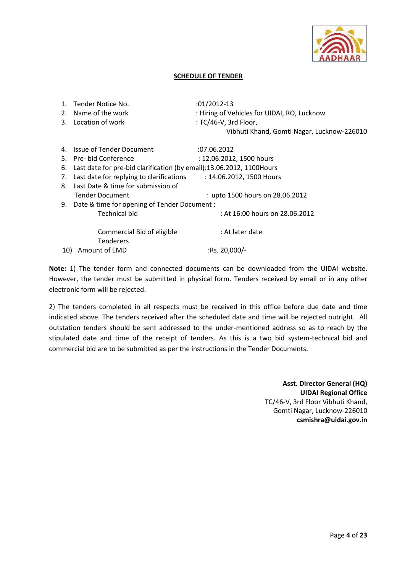

## **SCHEDULE OF TENDER**

|     | Tender Notice No.                                                     | $:01/2012-13$                               |
|-----|-----------------------------------------------------------------------|---------------------------------------------|
|     | 2. Name of the work                                                   | : Hiring of Vehicles for UIDAI, RO, Lucknow |
|     | 3. Location of work                                                   | : TC/46-V, 3rd Floor,                       |
|     |                                                                       | Vibhuti Khand, Gomti Nagar, Lucknow-226010  |
| 4.  | <b>Issue of Tender Document</b>                                       | :07.06.2012                                 |
|     | 5. Pre- bid Conference                                                | : 12.06.2012, 1500 hours                    |
| 6.  | Last date for pre-bid clarification (by email):13.06.2012, 1100 Hours |                                             |
| 7.  | Last date for replying to clarifications                              | : 14.06.2012, 1500 Hours                    |
|     | 8. Last Date & time for submission of                                 |                                             |
|     | <b>Tender Document</b>                                                | : upto 1500 hours on 28.06.2012             |
|     | 9. Date & time for opening of Tender Document :                       |                                             |
|     | <b>Technical bid</b>                                                  | : At 16:00 hours on 28.06.2012              |
|     | Commercial Bid of eligible<br><b>Tenderers</b>                        | : At later date                             |
| 10) | Amount of EMD                                                         | :Rs. $20,000/-$                             |

**Note:** 1) The tender form and connected documents can be downloaded from the UIDAI website. However, the tender must be submitted in physical form. Tenders received by email or in any other electronic form will be rejected.

2) The tenders completed in all respects must be received in this office before due date and time indicated above. The tenders received after the scheduled date and time will be rejected outright. All outstation tenders should be sent addressed to the under-mentioned address so as to reach by the stipulated date and time of the receipt of tenders. As this is a two bid system-technical bid and commercial bid are to be submitted as per the instructions in the Tender Documents.

> **Asst. Director General (HQ) UIDAI Regional Office** TC/46-V, 3rd Floor Vibhuti Khand, Gomti Nagar, Lucknow-226010 **csmishra@uidai.gov.in**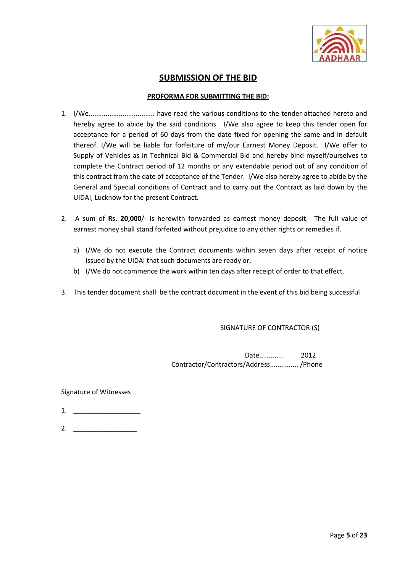

# **SUBMISSION OF THE BID**

## **PROFORMA FOR SUBMITTING THE BID:**

- 1. I/We................................... have read the various conditions to the tender attached hereto and hereby agree to abide by the said conditions. I/We also agree to keep this tender open for acceptance for a period of 60 days from the date fixed for opening the same and in default thereof. I/We will be liable for forfeiture of my/our Earnest Money Deposit. I/We offer to Supply of Vehicles as in Technical Bid & Commercial Bid and hereby bind myself/ourselves to complete the Contract period of 12 months or any extendable period out of any condition of this contract from the date of acceptance of the Tender. I/We also hereby agree to abide by the General and Special conditions of Contract and to carry out the Contract as laid down by the UIDAI, Lucknow for the present Contract.
- 2. A sum of **Rs. 20,000**/- is herewith forwarded as earnest money deposit. The full value of earnest money shall stand forfeited without prejudice to any other rights or remedies if.
	- a) I/We do not execute the Contract documents within seven days after receipt of notice issued by the UIDAI that such documents are ready or,
	- b) I/We do not commence the work within ten days after receipt of order to that effect.
- 3. This tender document shall be the contract document in the event of this bid being successful

SIGNATURE OF CONTRACTOR (S)

Date............. 2012 Contractor/Contractors/Address............... /Phone

## Signature of Witnesses

- 1. \_\_\_\_\_\_\_\_\_\_\_\_\_\_\_\_\_\_
- 2.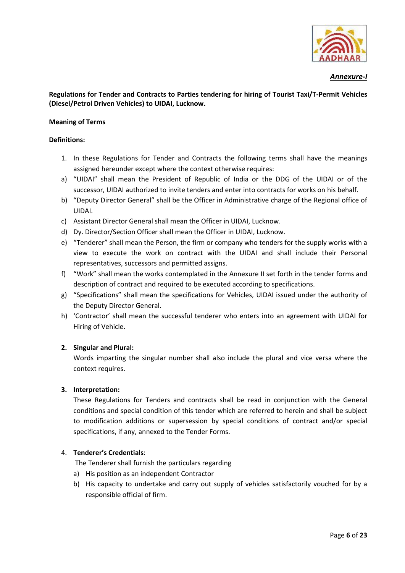

## *Annexure-I*

# **Regulations for Tender and Contracts to Parties tendering for hiring of Tourist Taxi/T-Permit Vehicles (Diesel/Petrol Driven Vehicles) to UIDAI, Lucknow.**

#### **Meaning of Terms**

#### **Definitions:**

- 1. In these Regulations for Tender and Contracts the following terms shall have the meanings assigned hereunder except where the context otherwise requires:
- a) "UIDAI" shall mean the President of Republic of India or the DDG of the UIDAI or of the successor, UIDAI authorized to invite tenders and enter into contracts for works on his behalf.
- b) "Deputy Director General" shall be the Officer in Administrative charge of the Regional office of UIDAI.
- c) Assistant Director General shall mean the Officer in UIDAI, Lucknow.
- d) Dy. Director/Section Officer shall mean the Officer in UIDAI, Lucknow.
- e) "Tenderer" shall mean the Person, the firm or company who tenders for the supply works with a view to execute the work on contract with the UIDAI and shall include their Personal representatives, successors and permitted assigns.
- f) "Work" shall mean the works contemplated in the Annexure II set forth in the tender forms and description of contract and required to be executed according to specifications.
- g) "Specifications" shall mean the specifications for Vehicles, UIDAI issued under the authority of the Deputy Director General.
- h) 'Contractor' shall mean the successful tenderer who enters into an agreement with UIDAI for Hiring of Vehicle.

## **2. Singular and Plural:**

Words imparting the singular number shall also include the plural and vice versa where the context requires.

## **3. Interpretation:**

These Regulations for Tenders and contracts shall be read in conjunction with the General conditions and special condition of this tender which are referred to herein and shall be subject to modification additions or supersession by special conditions of contract and/or special specifications, if any, annexed to the Tender Forms.

## 4. **Tenderer's Credentials**:

The Tenderer shall furnish the particulars regarding

- a) His position as an independent Contractor
- b) His capacity to undertake and carry out supply of vehicles satisfactorily vouched for by a responsible official of firm.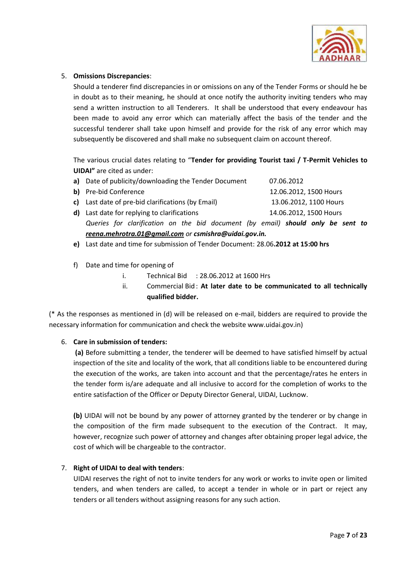

# 5. **Omissions Discrepancies**:

Should a tenderer find discrepancies in or omissions on any of the Tender Forms or should he be in doubt as to their meaning, he should at once notify the authority inviting tenders who may send a written instruction to all Tenderers. It shall be understood that every endeavour has been made to avoid any error which can materially affect the basis of the tender and the successful tenderer shall take upon himself and provide for the risk of any error which may subsequently be discovered and shall make no subsequent claim on account thereof.

The various crucial dates relating to "**Tender for providing Tourist taxi / T-Permit Vehicles to UIDAI"** are cited as under:

| a) Date of publicity/downloading the Tender Document                            | 07.06.2012             |
|---------------------------------------------------------------------------------|------------------------|
| b) Pre-bid Conference                                                           | 12.06.2012, 1500 Hours |
| c) Last date of pre-bid clarifications (by Email)                               | 13.06.2012, 1100 Hours |
| <b>d)</b> Last date for replying to clarifications                              | 14.06.2012, 1500 Hours |
| Queries for clarification on the bid document (by email) should only be sent to |                        |
| reena.mehrotra.01@gmail.com or csmishra@uidai.gov.in.                           |                        |

- **e)** Last date and time for submission of Tender Document: 28.06**.2012 at 15:00 hrs**
- f) Date and time for opening of
	- i. Technical Bid : 28.06.2012 at 1600 Hrs
	- ii. Commercial Bid: At later date to be communicated to all technically **qualified bidder.**

(\* As the responses as mentioned in (d) will be released on e-mail, bidders are required to provide the necessary information for communication and check the website www.uidai.gov.in)

## 6. **Care in submission of tenders:**

**(a)** Before submitting a tender, the tenderer will be deemed to have satisfied himself by actual inspection of the site and locality of the work, that all conditions liable to be encountered during the execution of the works, are taken into account and that the percentage/rates he enters in the tender form is/are adequate and all inclusive to accord for the completion of works to the entire satisfaction of the Officer or Deputy Director General, UIDAI, Lucknow.

**(b)** UIDAI will not be bound by any power of attorney granted by the tenderer or by change in the composition of the firm made subsequent to the execution of the Contract. It may, however, recognize such power of attorney and changes after obtaining proper legal advice, the cost of which will be chargeable to the contractor.

## 7. **Right of UIDAI to deal with tenders**:

UIDAI reserves the right of not to invite tenders for any work or works to invite open or limited tenders, and when tenders are called, to accept a tender in whole or in part or reject any tenders or all tenders without assigning reasons for any such action.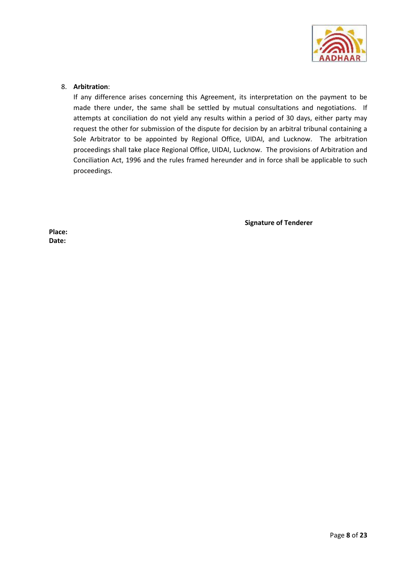

## 8. **Arbitration**:

If any difference arises concerning this Agreement, its interpretation on the payment to be made there under, the same shall be settled by mutual consultations and negotiations. If attempts at conciliation do not yield any results within a period of 30 days, either party may request the other for submission of the dispute for decision by an arbitral tribunal containing a Sole Arbitrator to be appointed by Regional Office, UIDAI, and Lucknow. The arbitration proceedings shall take place Regional Office, UIDAI, Lucknow. The provisions of Arbitration and Conciliation Act, 1996 and the rules framed hereunder and in force shall be applicable to such proceedings.

**Signature of Tenderer**

**Place: Date:**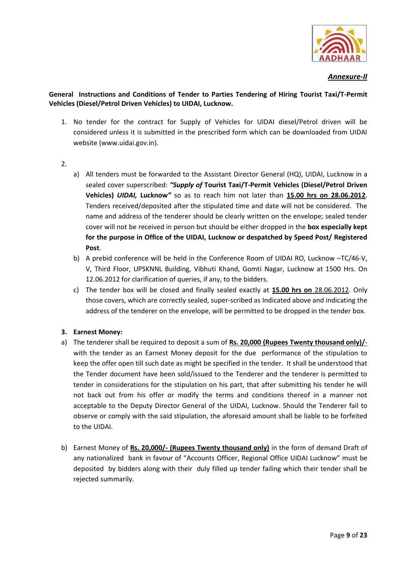

*Annexure-II*

# **General Instructions and Conditions of Tender to Parties Tendering of Hiring Tourist Taxi/T-Permit Vehicles (Diesel/Petrol Driven Vehicles) to UIDAI, Lucknow.**

- 1. No tender for the contract for Supply of Vehicles for UIDAI diesel/Petrol driven will be considered unless it is submitted in the prescribed form which can be downloaded from UIDAI website (www.uidai.gov.in).
- 2.
- a) All tenders must be forwarded to the Assistant Director General (HQ), UIDAI, Lucknow in a sealed cover superscribed: *"Supply of* **Tourist Taxi/T-Permit Vehicles (Diesel/Petrol Driven Vehicles)** *UIDAI,* **Lucknow***"* so as to reach him not later than **15.00 hrs on 28.06.2012**. Tenders received/deposited after the stipulated time and date will not be considered. The name and address of the tenderer should be clearly written on the envelope; sealed tender cover will not be received in person but should be either dropped in the **box especially kept for the purpose in Office of the UIDAI, Lucknow or despatched by Speed Post/ Registered Post**.
- b) A prebid conference will be held in the Conference Room of UIDAI RO, Lucknow –TC/46-V, V, Third Floor, UPSKNNL Building, Vibhuti Khand, Gomti Nagar, Lucknow at 1500 Hrs. On 12.06.2012 for clarification of queries, if any, to the bidders.
- c) The tender box will be closed and finally sealed exactly at **15.00 hrs on** 28.06.2012. Only those covers, which are correctly sealed, super-scribed as Indicated above and indicating the address of the tenderer on the envelope, will be permitted to be dropped in the tender box.

# **3. Earnest Money:**

- a) The tenderer shall be required to deposit a sum of **Rs. 20,000 (Rupees Twenty thousand only)/** with the tender as an Earnest Money deposit for the due performance of the stipulation to keep the offer open till such date as might be specified in the tender. It shall be understood that the Tender document have been sold/issued to the Tenderer and the tenderer is permitted to tender in considerations for the stipulation on his part, that after submitting his tender he will not back out from his offer or modify the terms and conditions thereof in a manner not acceptable to the Deputy Director General of the UIDAI, Lucknow. Should the Tenderer fail to observe or comply with the said stipulation, the aforesaid amount shall be liable to be forfeited to the UIDAI.
- b) Earnest Money of **Rs. 20,000/- (Rupees Twenty thousand only)** in the form of demand Draft of any nationalized bank in favour of "Accounts Officer, Regional Office UIDAI Lucknow" must be deposited by bidders along with their duly filled up tender failing which their tender shall be rejected summarily.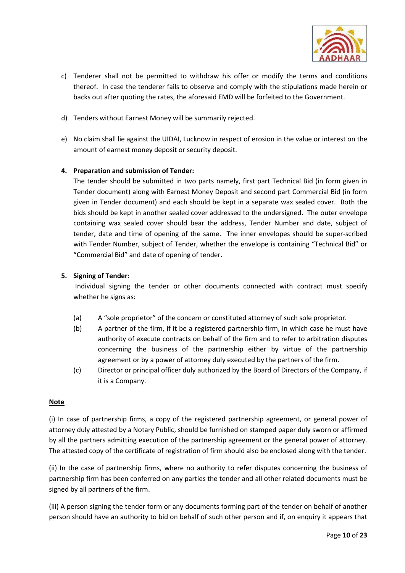

- c) Tenderer shall not be permitted to withdraw his offer or modify the terms and conditions thereof. In case the tenderer fails to observe and comply with the stipulations made herein or backs out after quoting the rates, the aforesaid EMD will be forfeited to the Government.
- d) Tenders without Earnest Money will be summarily rejected.
- e) No claim shall lie against the UIDAI, Lucknow in respect of erosion in the value or interest on the amount of earnest money deposit or security deposit.

# **4. Preparation and submission of Tender:**

The tender should be submitted in two parts namely, first part Technical Bid (in form given in Tender document) along with Earnest Money Deposit and second part Commercial Bid (in form given in Tender document) and each should be kept in a separate wax sealed cover. Both the bids should be kept in another sealed cover addressed to the undersigned. The outer envelope containing wax sealed cover should bear the address, Tender Number and date, subject of tender, date and time of opening of the same. The inner envelopes should be super-scribed with Tender Number, subject of Tender, whether the envelope is containing "Technical Bid" or "Commercial Bid" and date of opening of tender.

# **5. Signing of Tender:**

Individual signing the tender or other documents connected with contract must specify whether he signs as:

- (a) A "sole proprietor" of the concern or constituted attorney of such sole proprietor.
- (b) A partner of the firm, if it be a registered partnership firm, in which case he must have authority of execute contracts on behalf of the firm and to refer to arbitration disputes concerning the business of the partnership either by virtue of the partnership agreement or by a power of attorney duly executed by the partners of the firm.
- (c) Director or principal officer duly authorized by the Board of Directors of the Company, if it is a Company.

# **Note**

(i) In case of partnership firms, a copy of the registered partnership agreement, or general power of attorney duly attested by a Notary Public, should be furnished on stamped paper duly sworn or affirmed by all the partners admitting execution of the partnership agreement or the general power of attorney. The attested copy of the certificate of registration of firm should also be enclosed along with the tender.

(ii) In the case of partnership firms, where no authority to refer disputes concerning the business of partnership firm has been conferred on any parties the tender and all other related documents must be signed by all partners of the firm.

(iii) A person signing the tender form or any documents forming part of the tender on behalf of another person should have an authority to bid on behalf of such other person and if, on enquiry it appears that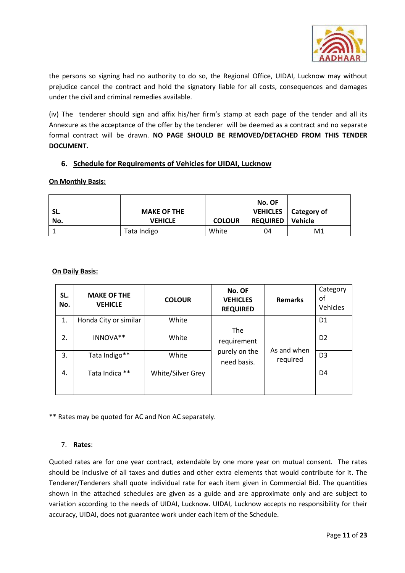

the persons so signing had no authority to do so, the Regional Office, UIDAI, Lucknow may without prejudice cancel the contract and hold the signatory liable for all costs, consequences and damages under the civil and criminal remedies available.

(iv) The tenderer should sign and affix his/her firm's stamp at each page of the tender and all its Annexure as the acceptance of the offer by the tenderer will be deemed as a contract and no separate formal contract will be drawn. **NO PAGE SHOULD BE REMOVED/DETACHED FROM THIS TENDER DOCUMENT.**

# **6. Schedule for Requirements of Vehicles for UIDAI, Lucknow**

# **On Monthly Basis:**

|     |                    |               | No. OF          |                        |
|-----|--------------------|---------------|-----------------|------------------------|
| SL. | <b>MAKE OF THE</b> |               |                 | VEHICLES   Category of |
| No. | <b>VEHICLE</b>     | <b>COLOUR</b> | <b>REQUIRED</b> | Vehicle                |
|     | Tata Indigo        | White         | 04              | M1                     |

# **On Daily Basis:**

| SL.<br>No. | <b>MAKE OF THE</b><br><b>VEHICLE</b> | <b>COLOUR</b>     | No. OF<br><b>VEHICLES</b><br><b>REQUIRED</b> | <b>Remarks</b> | Category<br>οf<br>Vehicles |
|------------|--------------------------------------|-------------------|----------------------------------------------|----------------|----------------------------|
| 1.         | Honda City or similar                | White             | <b>The</b>                                   |                | D <sub>1</sub>             |
| 2.         | INNOVA**                             | White             | requirement                                  | As and when    | D <sub>2</sub>             |
| 3.         | Tata Indigo**                        | White             | purely on the<br>need basis.                 | required       | D <sub>3</sub>             |
| 4.         | Tata Indica **                       | White/Silver Grey |                                              |                | D <sub>4</sub>             |

\*\* Rates may be quoted for AC and Non AC separately.

## 7. **Rates**:

Quoted rates are for one year contract, extendable by one more year on mutual consent. The rates should be inclusive of all taxes and duties and other extra elements that would contribute for it. The Tenderer/Tenderers shall quote individual rate for each item given in Commercial Bid. The quantities shown in the attached schedules are given as a guide and are approximate only and are subject to variation according to the needs of UIDAI, Lucknow. UIDAI, Lucknow accepts no responsibility for their accuracy, UIDAI, does not guarantee work under each item of the Schedule.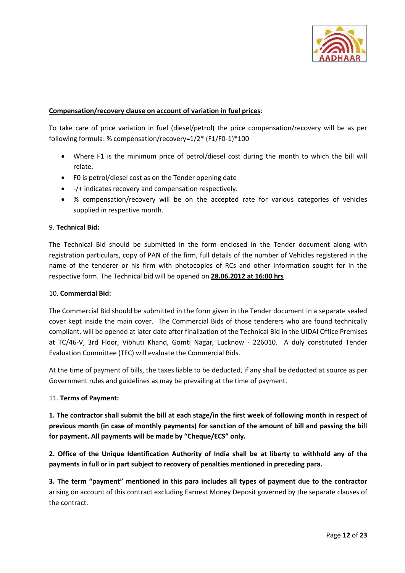

# **Compensation/recovery clause on account of variation in fuel prices**:

To take care of price variation in fuel (diesel/petrol) the price compensation/recovery will be as per following formula: % compensation/recovery=1/2\* (F1/F0-1)\*100

- Where F1 is the minimum price of petrol/diesel cost during the month to which the bill will relate.
- F0 is petrol/diesel cost as on the Tender opening date
- -/+ indicates recovery and compensation respectively.
- % compensation/recovery will be on the accepted rate for various categories of vehicles supplied in respective month.

# 9. **Technical Bid:**

The Technical Bid should be submitted in the form enclosed in the Tender document along with registration particulars, copy of PAN of the firm, full details of the number of Vehicles registered in the name of the tenderer or his firm with photocopies of RCs and other information sought for in the respective form. The Technical bid will be opened on **28.06.2012 at 16:00 hrs**

## 10. **Commercial Bid:**

The Commercial Bid should be submitted in the form given in the Tender document in a separate sealed cover kept inside the main cover. The Commercial Bids of those tenderers who are found technically compliant, will be opened at later date after finalization of the Technical Bid in the UIDAI Office Premises at TC/46-V, 3rd Floor, Vibhuti Khand, Gomti Nagar, Lucknow - 226010. A duly constituted Tender Evaluation Committee (TEC) will evaluate the Commercial Bids.

At the time of payment of bills, the taxes liable to be deducted, if any shall be deducted at source as per Government rules and guidelines as may be prevailing at the time of payment.

## 11. **Terms of Payment:**

**1. The contractor shall submit the bill at each stage/in the first week of following month in respect of previous month (in case of monthly payments) for sanction of the amount of bill and passing the bill for payment. All payments will be made by "Cheque/ECS" only.**

**2. Office of the Unique Identification Authority of India shall be at liberty to withhold any of the payments in full or in part subject to recovery of penalties mentioned in preceding para.** 

**3. The term "payment" mentioned in this para includes all types of payment due to the contractor** arising on account of this contract excluding Earnest Money Deposit governed by the separate clauses of the contract.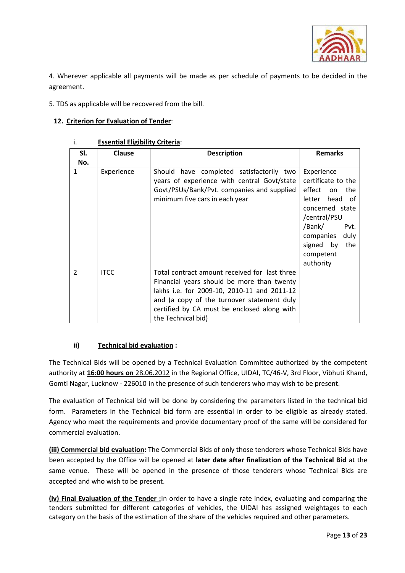

4. Wherever applicable all payments will be made as per schedule of payments to be decided in the agreement.

5. TDS as applicable will be recovered from the bill.

# **12. Criterion for Evaluation of Tender**:

| SI. | <b>Clause</b> | <b>Description</b>                                                                                                                                                                                                                                            | <b>Remarks</b>                                                                                                                                                                                    |
|-----|---------------|---------------------------------------------------------------------------------------------------------------------------------------------------------------------------------------------------------------------------------------------------------------|---------------------------------------------------------------------------------------------------------------------------------------------------------------------------------------------------|
| No. |               |                                                                                                                                                                                                                                                               |                                                                                                                                                                                                   |
| 1   | Experience    | Should have completed satisfactorily two<br>years of experience with central Govt/state<br>Govt/PSUs/Bank/Pvt. companies and supplied<br>minimum five cars in each year                                                                                       | Experience<br>certificate to the<br>effect<br>the<br>on<br>letter head of<br>concerned state<br>/central/PSU<br>/Bank/<br>Pvt.<br>companies<br>duly<br>signed by<br>the<br>competent<br>authority |
| 2   | <b>ITCC</b>   | Total contract amount received for last three<br>Financial years should be more than twenty<br>lakhs i.e. for 2009-10, 2010-11 and 2011-12<br>and (a copy of the turnover statement duly<br>certified by CA must be enclosed along with<br>the Technical bid) |                                                                                                                                                                                                   |

# i. **Essential Eligibility Criteria**:

# **ii) Technical bid evaluation :**

The Technical Bids will be opened by a Technical Evaluation Committee authorized by the competent authority at **16:00 hours on** 28.06.2012 in the Regional Office, UIDAI, TC/46-V, 3rd Floor, Vibhuti Khand, Gomti Nagar, Lucknow - 226010 in the presence of such tenderers who may wish to be present.

The evaluation of Technical bid will be done by considering the parameters listed in the technical bid form. Parameters in the Technical bid form are essential in order to be eligible as already stated. Agency who meet the requirements and provide documentary proof of the same will be considered for commercial evaluation.

**(iii) Commercial bid evaluation:** The Commercial Bids of only those tenderers whose Technical Bids have been accepted by the Office will be opened at **later date after finalization of the Technical Bid** at the same venue. These will be opened in the presence of those tenderers whose Technical Bids are accepted and who wish to be present.

**(iv) Final Evaluation of the Tender :**In order to have a single rate index, evaluating and comparing the tenders submitted for different categories of vehicles, the UIDAI has assigned weightages to each category on the basis of the estimation of the share of the vehicles required and other parameters.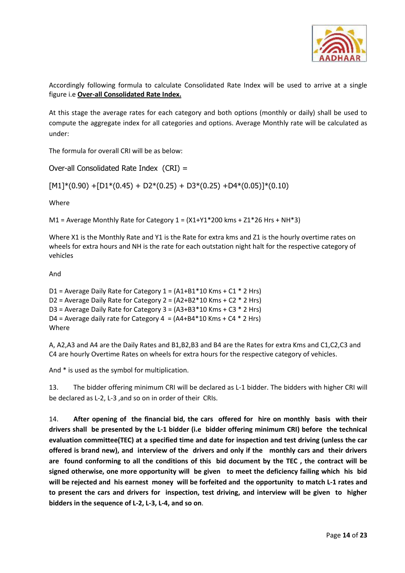

Accordingly following formula to calculate Consolidated Rate Index will be used to arrive at a single figure i.e **Over-all Consolidated Rate Index.**

At this stage the average rates for each category and both options (monthly or daily) shall be used to compute the aggregate index for all categories and options. Average Monthly rate will be calculated as under:

The formula for overall CRI will be as below:

Over-all Consolidated Rate Index (CRI) =

 $[M1]^*(0.90) + [D1^*(0.45) + D2^*(0.25) + D3^*(0.25) + D4^*(0.05)]^*(0.10)$ 

Where

M1 = Average Monthly Rate for Category  $1 = (X1+Y1*200$  kms +  $Z1*26$  Hrs + NH $*3)$ 

Where X1 is the Monthly Rate and Y1 is the Rate for extra kms and Z1 is the hourly overtime rates on wheels for extra hours and NH is the rate for each outstation night halt for the respective category of vehicles

And

D1 = Average Daily Rate for Category  $1 = (A1+B1*10$  Kms + C1  $*$  2 Hrs) D2 = Average Daily Rate for Category 2 =  $(A2+B2*10$  Kms + C2  $*$  2 Hrs) D3 = Average Daily Rate for Category  $3 = (A3+B3*10$  Kms + C3  $*$  2 Hrs) D4 = Average daily rate for Category  $4 = (A4+B4*10$  Kms + C4  $*$  2 Hrs) Where

A, A2,A3 and A4 are the Daily Rates and B1,B2,B3 and B4 are the Rates for extra Kms and C1,C2,C3 and C4 are hourly Overtime Rates on wheels for extra hours for the respective category of vehicles.

And \* is used as the symbol for multiplication.

13. The bidder offering minimum CRI will be declared as L-1 bidder. The bidders with higher CRI will be declared as L-2, L-3 ,and so on in order of their CRIs.

14. **After opening of the financial bid, the cars offered for hire on monthly basis with their drivers shall be presented by the L-1 bidder (i.e bidder offering minimum CRI) before the technical evaluation committee(TEC) at a specified time and date for inspection and test driving (unless the car offered is brand new), and interview of the drivers and only if the monthly cars and their drivers are found conforming to all the conditions of this bid document by the TEC , the contract will be signed otherwise, one more opportunity will be given to meet the deficiency failing which his bid will be rejected and his earnest money will be forfeited and the opportunity to match L-1 rates and to present the cars and drivers for inspection, test driving, and interview will be given to higher bidders in the sequence of L-2, L-3, L-4, and so on**.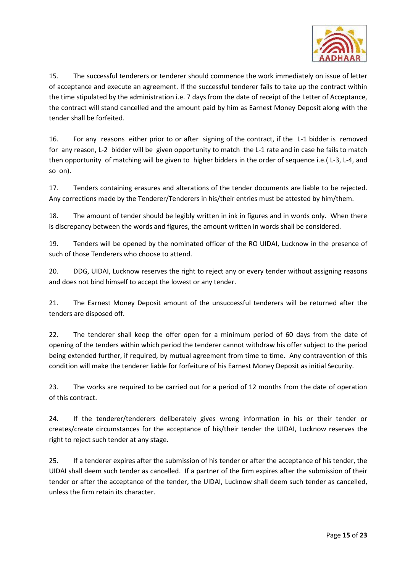

15. The successful tenderers or tenderer should commence the work immediately on issue of letter of acceptance and execute an agreement. If the successful tenderer fails to take up the contract within the time stipulated by the administration i.e. 7 days from the date of receipt of the Letter of Acceptance, the contract will stand cancelled and the amount paid by him as Earnest Money Deposit along with the tender shall be forfeited.

16. For any reasons either prior to or after signing of the contract, if the L-1 bidder is removed for any reason, L-2 bidder will be given opportunity to match the L-1 rate and in case he fails to match then opportunity of matching will be given to higher bidders in the order of sequence i.e.( L-3, L-4, and so on).

17. Tenders containing erasures and alterations of the tender documents are liable to be rejected. Any corrections made by the Tenderer/Tenderers in his/their entries must be attested by him/them.

18. The amount of tender should be legibly written in ink in figures and in words only. When there is discrepancy between the words and figures, the amount written in words shall be considered.

19. Tenders will be opened by the nominated officer of the RO UIDAI, Lucknow in the presence of such of those Tenderers who choose to attend.

20. DDG, UIDAI, Lucknow reserves the right to reject any or every tender without assigning reasons and does not bind himself to accept the lowest or any tender.

21. The Earnest Money Deposit amount of the unsuccessful tenderers will be returned after the tenders are disposed off.

22. The tenderer shall keep the offer open for a minimum period of 60 days from the date of opening of the tenders within which period the tenderer cannot withdraw his offer subject to the period being extended further, if required, by mutual agreement from time to time. Any contravention of this condition will make the tenderer liable for forfeiture of his Earnest Money Deposit as initial Security.

23. The works are required to be carried out for a period of 12 months from the date of operation of this contract.

24. If the tenderer/tenderers deliberately gives wrong information in his or their tender or creates/create circumstances for the acceptance of his/their tender the UIDAI, Lucknow reserves the right to reject such tender at any stage.

25. If a tenderer expires after the submission of his tender or after the acceptance of his tender, the UIDAI shall deem such tender as cancelled. If a partner of the firm expires after the submission of their tender or after the acceptance of the tender, the UIDAI, Lucknow shall deem such tender as cancelled, unless the firm retain its character.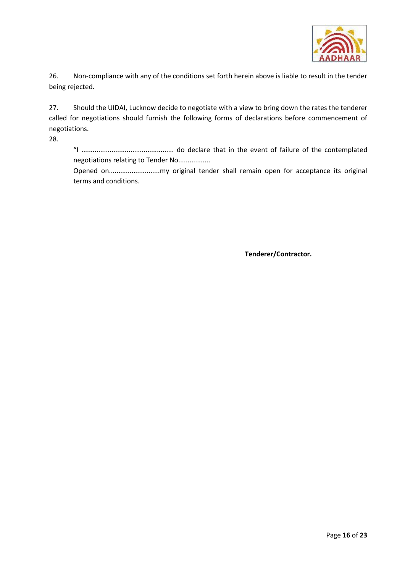

26. Non-compliance with any of the conditions set forth herein above is liable to result in the tender being rejected.

27. Should the UIDAI, Lucknow decide to negotiate with a view to bring down the rates the tenderer called for negotiations should furnish the following forms of declarations before commencement of negotiations.

28.

"I ................................................. do declare that in the event of failure of the contemplated negotiations relating to Tender No.................

Opened on...........................my original tender shall remain open for acceptance its original terms and conditions.

**Tenderer/Contractor.**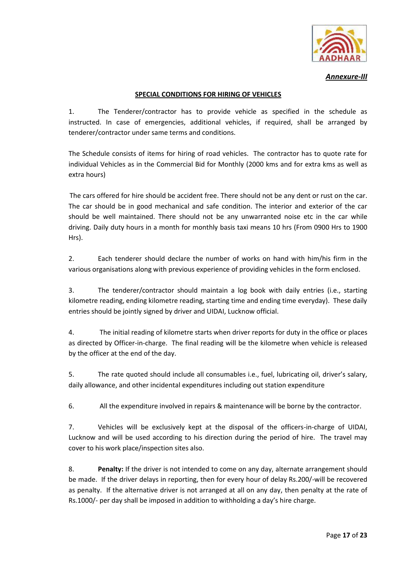

*Annexure-III*

# **SPECIAL CONDITIONS FOR HIRING OF VEHICLES**

1. The Tenderer/contractor has to provide vehicle as specified in the schedule as instructed. In case of emergencies, additional vehicles, if required, shall be arranged by tenderer/contractor under same terms and conditions.

The Schedule consists of items for hiring of road vehicles. The contractor has to quote rate for individual Vehicles as in the Commercial Bid for Monthly (2000 kms and for extra kms as well as extra hours)

The cars offered for hire should be accident free. There should not be any dent or rust on the car. The car should be in good mechanical and safe condition. The interior and exterior of the car should be well maintained. There should not be any unwarranted noise etc in the car while driving. Daily duty hours in a month for monthly basis taxi means 10 hrs (From 0900 Hrs to 1900 Hrs).

2. Each tenderer should declare the number of works on hand with him/his firm in the various organisations along with previous experience of providing vehicles in the form enclosed.

3. The tenderer/contractor should maintain a log book with daily entries (i.e., starting kilometre reading, ending kilometre reading, starting time and ending time everyday). These daily entries should be jointly signed by driver and UIDAI, Lucknow official.

4. The initial reading of kilometre starts when driver reports for duty in the office or places as directed by Officer-in-charge. The final reading will be the kilometre when vehicle is released by the officer at the end of the day.

5. The rate quoted should include all consumables i.e., fuel, lubricating oil, driver's salary, daily allowance, and other incidental expenditures including out station expenditure

6. All the expenditure involved in repairs & maintenance will be borne by the contractor.

7. Vehicles will be exclusively kept at the disposal of the officers-in-charge of UIDAI, Lucknow and will be used according to his direction during the period of hire. The travel may cover to his work place/inspection sites also.

8. **Penalty:** If the driver is not intended to come on any day, alternate arrangement should be made. If the driver delays in reporting, then for every hour of delay Rs.200/-will be recovered as penalty. If the alternative driver is not arranged at all on any day, then penalty at the rate of Rs.1000/- per day shall be imposed in addition to withholding a day's hire charge.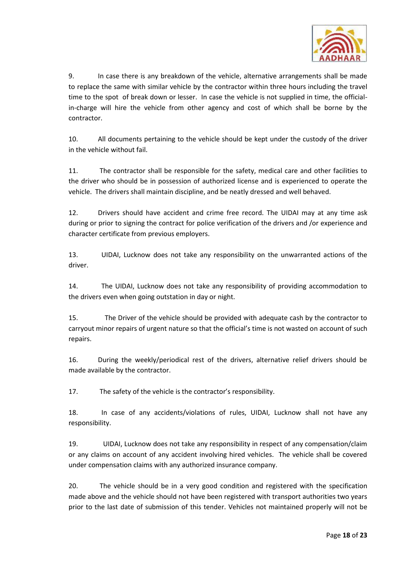

9. In case there is any breakdown of the vehicle, alternative arrangements shall be made to replace the same with similar vehicle by the contractor within three hours including the travel time to the spot of break down or lesser. In case the vehicle is not supplied in time, the officialin-charge will hire the vehicle from other agency and cost of which shall be borne by the contractor.

10. All documents pertaining to the vehicle should be kept under the custody of the driver in the vehicle without fail.

11. The contractor shall be responsible for the safety, medical care and other facilities to the driver who should be in possession of authorized license and is experienced to operate the vehicle. The drivers shall maintain discipline, and be neatly dressed and well behaved.

12. Drivers should have accident and crime free record. The UIDAI may at any time ask during or prior to signing the contract for police verification of the drivers and /or experience and character certificate from previous employers.

13. UIDAI, Lucknow does not take any responsibility on the unwarranted actions of the driver.

14. The UIDAI, Lucknow does not take any responsibility of providing accommodation to the drivers even when going outstation in day or night.

15. The Driver of the vehicle should be provided with adequate cash by the contractor to carryout minor repairs of urgent nature so that the official's time is not wasted on account of such repairs.

16. During the weekly/periodical rest of the drivers, alternative relief drivers should be made available by the contractor.

17. The safety of the vehicle is the contractor's responsibility.

18. In case of any accidents/violations of rules, UIDAI, Lucknow shall not have any responsibility.

19. UIDAI, Lucknow does not take any responsibility in respect of any compensation/claim or any claims on account of any accident involving hired vehicles. The vehicle shall be covered under compensation claims with any authorized insurance company.

20. The vehicle should be in a very good condition and registered with the specification made above and the vehicle should not have been registered with transport authorities two years prior to the last date of submission of this tender. Vehicles not maintained properly will not be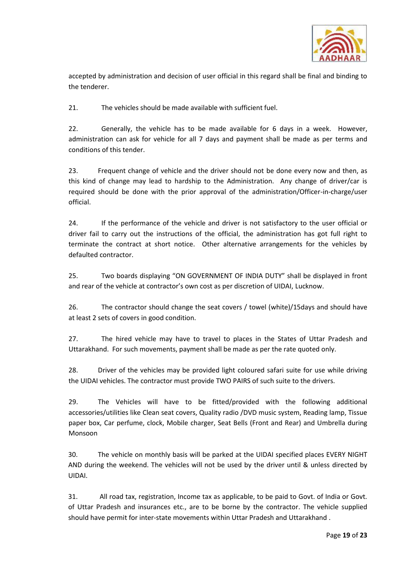

accepted by administration and decision of user official in this regard shall be final and binding to the tenderer.

21. The vehicles should be made available with sufficient fuel.

22. Generally, the vehicle has to be made available for 6 days in a week. However, administration can ask for vehicle for all 7 days and payment shall be made as per terms and conditions of this tender.

23. Frequent change of vehicle and the driver should not be done every now and then, as this kind of change may lead to hardship to the Administration. Any change of driver/car is required should be done with the prior approval of the administration/Officer-in-charge/user official.

24. If the performance of the vehicle and driver is not satisfactory to the user official or driver fail to carry out the instructions of the official, the administration has got full right to terminate the contract at short notice. Other alternative arrangements for the vehicles by defaulted contractor.

25. Two boards displaying "ON GOVERNMENT OF INDIA DUTY" shall be displayed in front and rear of the vehicle at contractor's own cost as per discretion of UIDAI, Lucknow.

26. The contractor should change the seat covers / towel (white)/15days and should have at least 2 sets of covers in good condition.

27. The hired vehicle may have to travel to places in the States of Uttar Pradesh and Uttarakhand. For such movements, payment shall be made as per the rate quoted only.

28. Driver of the vehicles may be provided light coloured safari suite for use while driving the UIDAI vehicles. The contractor must provide TWO PAIRS of such suite to the drivers.

29. The Vehicles will have to be fitted/provided with the following additional accessories/utilities like Clean seat covers, Quality radio /DVD music system, Reading lamp, Tissue paper box, Car perfume, clock, Mobile charger, Seat Bells (Front and Rear) and Umbrella during Monsoon

30. The vehicle on monthly basis will be parked at the UIDAI specified places EVERY NIGHT AND during the weekend. The vehicles will not be used by the driver until & unless directed by UIDAI.

31. All road tax, registration, Income tax as applicable, to be paid to Govt. of India or Govt. of Uttar Pradesh and insurances etc., are to be borne by the contractor. The vehicle supplied should have permit for inter-state movements within Uttar Pradesh and Uttarakhand .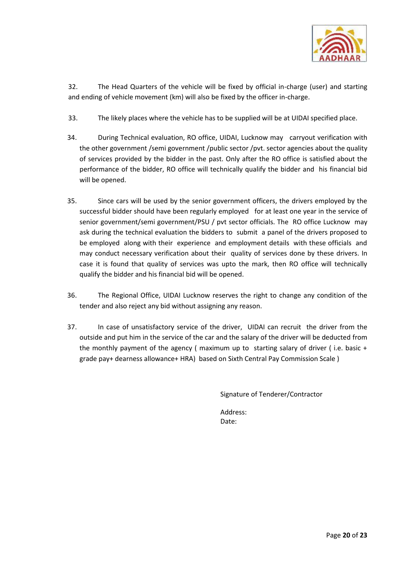

32. The Head Quarters of the vehicle will be fixed by official in-charge (user) and starting and ending of vehicle movement (km) will also be fixed by the officer in-charge.

- 33. The likely places where the vehicle has to be supplied will be at UIDAI specified place.
- 34. During Technical evaluation, RO office, UIDAI, Lucknow may carryout verification with the other government /semi government /public sector /pvt. sector agencies about the quality of services provided by the bidder in the past. Only after the RO office is satisfied about the performance of the bidder, RO office will technically qualify the bidder and his financial bid will be opened.
- 35. Since cars will be used by the senior government officers, the drivers employed by the successful bidder should have been regularly employed for at least one year in the service of senior government/semi government/PSU / pvt sector officials. The RO office Lucknow may ask during the technical evaluation the bidders to submit a panel of the drivers proposed to be employed along with their experience and employment details with these officials and may conduct necessary verification about their quality of services done by these drivers. In case it is found that quality of services was upto the mark, then RO office will technically qualify the bidder and his financial bid will be opened.
- 36. The Regional Office, UIDAI Lucknow reserves the right to change any condition of the tender and also reject any bid without assigning any reason.
- 37. In case of unsatisfactory service of the driver, UIDAI can recruit the driver from the outside and put him in the service of the car and the salary of the driver will be deducted from the monthly payment of the agency ( maximum up to starting salary of driver ( i.e. basic + grade pay+ dearness allowance+ HRA) based on Sixth Central Pay Commission Scale )

Signature of Tenderer/Contractor

Address: Date: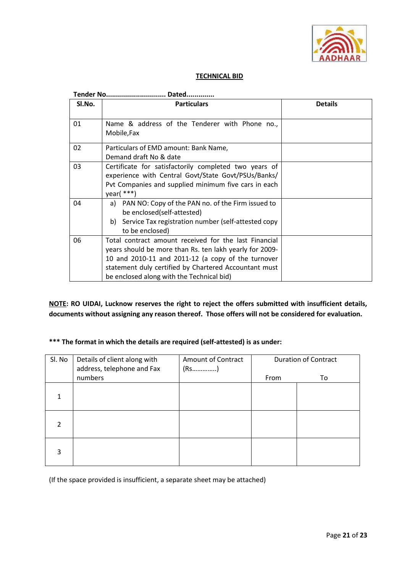

# **TECHNICAL BID**

|        | <b>Tender No</b><br>Dated.                                                                                                                                                                                                                                                   |                |  |  |  |
|--------|------------------------------------------------------------------------------------------------------------------------------------------------------------------------------------------------------------------------------------------------------------------------------|----------------|--|--|--|
| SI.No. | <b>Particulars</b>                                                                                                                                                                                                                                                           | <b>Details</b> |  |  |  |
| 01     | Name & address of the Tenderer with Phone no.,<br>Mobile, Fax                                                                                                                                                                                                                |                |  |  |  |
| 02     | Particulars of EMD amount: Bank Name,<br>Demand draft No & date                                                                                                                                                                                                              |                |  |  |  |
| 03     | Certificate for satisfactorily completed two years of<br>experience with Central Govt/State Govt/PSUs/Banks/<br>Pvt Companies and supplied minimum five cars in each<br>year $(***)$                                                                                         |                |  |  |  |
| 04     | a) PAN NO: Copy of the PAN no. of the Firm issued to<br>be enclosed(self-attested)<br>Service Tax registration number (self-attested copy<br>b)<br>to be enclosed)                                                                                                           |                |  |  |  |
| 06     | Total contract amount received for the last Financial<br>years should be more than Rs. ten lakh yearly for 2009-<br>10 and 2010-11 and 2011-12 (a copy of the turnover<br>statement duly certified by Chartered Accountant must<br>be enclosed along with the Technical bid) |                |  |  |  |

**NOTE: RO UIDAI, Lucknow reserves the right to reject the offers submitted with insufficient details, documents without assigning any reason thereof. Those offers will not be considered for evaluation.**

# **\*\*\* The format in which the details are required (self-attested) is as under:**

| Sl. No | Details of client along with<br>address, telephone and Fax | <b>Amount of Contract</b> | <b>Duration of Contract</b> |    |
|--------|------------------------------------------------------------|---------------------------|-----------------------------|----|
|        | numbers                                                    |                           | From                        | To |
|        |                                                            |                           |                             |    |
| 2      |                                                            |                           |                             |    |
| 3      |                                                            |                           |                             |    |

(If the space provided is insufficient, a separate sheet may be attached)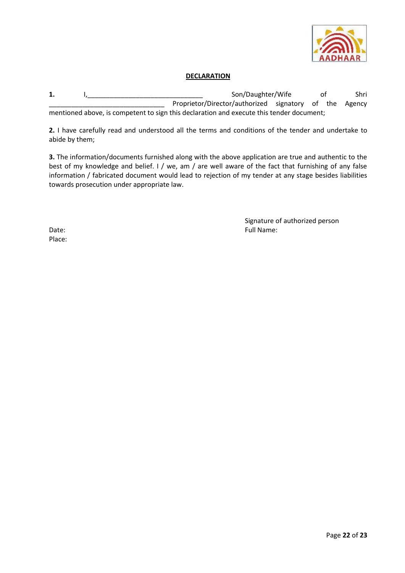

## **DECLARATION**

**1.** I,\_\_\_\_\_\_\_\_\_\_\_\_\_\_\_\_\_\_\_\_\_\_\_\_\_\_\_\_\_\_\_ Son/Daughter/Wife of Shri Proprietor/Director/authorized signatory of the Agency mentioned above, is competent to sign this declaration and execute this tender document;

**2.** I have carefully read and understood all the terms and conditions of the tender and undertake to abide by them;

**3.** The information/documents furnished along with the above application are true and authentic to the best of my knowledge and belief. I / we, am / are well aware of the fact that furnishing of any false information / fabricated document would lead to rejection of my tender at any stage besides liabilities towards prosecution under appropriate law.

Signature of authorized person Date: Full Name: Full Name: Full Name: Full Name: Full Name: Full Name: Full Name: Full Name: Full Name: Full Name: Full Name: Full Name: Full Name: Full Name: Full Name: Full Name: Full Name: Full Name: Full Name: Full Na

Place: